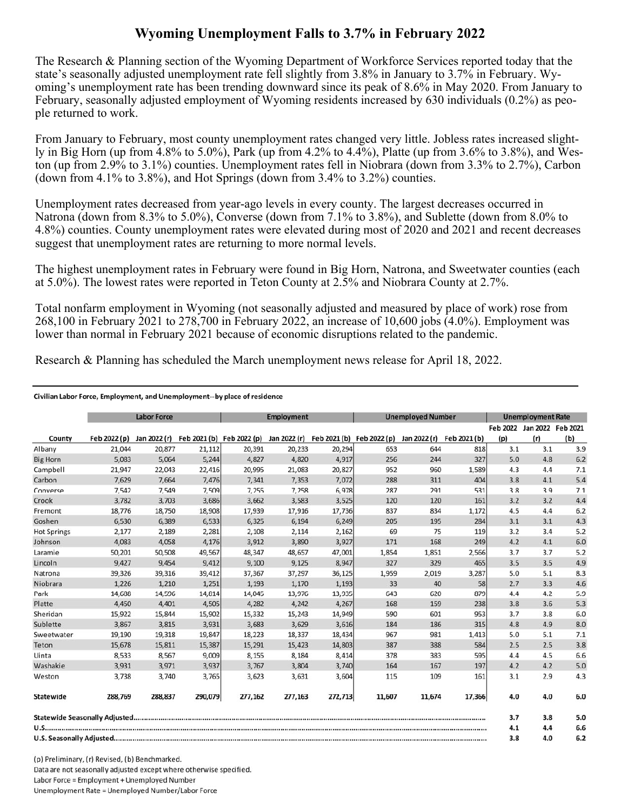## **Wyoming Unemployment Falls to 3.7% in February 2022**

The Research & Planning section of the Wyoming Department of Workforce Services reported today that the state's seasonally adjusted unemployment rate fell slightly from 3.8% in January to 3.7% in February. Wyoming's unemployment rate has been trending downward since its peak of 8.6% in May 2020. From January to February, seasonally adjusted employment of Wyoming residents increased by 630 individuals (0.2%) as people returned to work.

From January to February, most county unemployment rates changed very little. Jobless rates increased slightly in Big Horn (up from 4.8% to 5.0%), Park (up from 4.2% to 4.4%), Platte (up from 3.6% to 3.8%), and Weston (up from 2.9% to 3.1%) counties. Unemployment rates fell in Niobrara (down from 3.3% to 2.7%), Carbon (down from 4.1% to 3.8%), and Hot Springs (down from 3.4% to 3.2%) counties.

Unemployment rates decreased from year-ago levels in every county. The largest decreases occurred in Natrona (down from 8.3% to 5.0%), Converse (down from 7.1% to 3.8%), and Sublette (down from 8.0% to 4.8%) counties. County unemployment rates were elevated during most of 2020 and 2021 and recent decreases suggest that unemployment rates are returning to more normal levels.

The highest unemployment rates in February were found in Big Horn, Natrona, and Sweetwater counties (each at 5.0%). The lowest rates were reported in Teton County at 2.5% and Niobrara County at 2.7%.

Total nonfarm employment in Wyoming (not seasonally adjusted and measured by place of work) rose from 268,100 in February 2021 to 278,700 in February 2022, an increase of 10,600 jobs (4.0%). Employment was lower than normal in February 2021 because of economic disruptions related to the pandemic.

Research & Planning has scheduled the March unemployment news release for April 18, 2022.

## Civilian Labor Force, Employment, and Unemployment--by place of residence

|                    | <b>Labor Force</b> |         |         | <b>Employment</b>                      |         |                                        | <b>Unemployed Number</b> |              |              | <b>Unemployment Rate</b> |                            |     |
|--------------------|--------------------|---------|---------|----------------------------------------|---------|----------------------------------------|--------------------------|--------------|--------------|--------------------------|----------------------------|-----|
|                    |                    |         |         |                                        |         |                                        |                          |              |              |                          | Feb 2022 Jan 2022 Feb 2021 |     |
| County             | Feb 2022 (p)       |         |         | Jan 2022 (r) Feb 2021 (b) Feb 2022 (p) |         | Jan 2022 (r) Feb 2021 (b) Feb 2022 (p) |                          | Jan 2022 (r) | Feb 2021 (b) | (p)                      | (r)                        | (b) |
| Albany             | 21,044             | 20,877  | 21,112  | 20,391                                 | 20,233  | 20,294                                 | 653                      | 644          | 818          | 3.1                      | 3.1                        | 3.9 |
| <b>Big Horn</b>    | 5,083              | 5,064   | 5,244   | 4,827                                  | 4,820   | 4,917                                  | 256                      | 244          | 327          | 5.0                      | 4.8                        | 6.2 |
| Campbell           | 21,947             | 22,043  | 22,416  | 20,995                                 | 21,083  | 20,827                                 | 952                      | 960          | 1,589        | 4.3                      | 4.4                        | 7.1 |
| Carbon             | 7.629              | 7.664   | 7,476   | 7.341                                  | 7.353   | 7,072                                  | 288                      | 311          | 404          | 3.8                      | 4.1                        | 5.4 |
| Converse           | 7,542              | 7,549   | 7,509   | 7,255                                  | 7,258   | 6,978                                  | 287                      | 291          | 531          | 3.8                      | 3.9                        | 7.1 |
| Crook              | 3,782              | 3,703   | 3,686   | 3,662                                  | 3,583   | 3,525                                  | 120                      | 120          | 161          | 3.2                      | 3.2                        | 4.4 |
| Fremont            | 18,776             | 18,750  | 18,908  | 17,939                                 | 17,916  | 17,736                                 | 837                      | 834          | 1,172        | 4.5                      | 4.4                        | 6.2 |
| Goshen             | 6,530              | 6,389   | 6,533   | 6,325                                  | 6,194   | 6,249                                  | 205                      | 195          | 284          | 3.1                      | 3.1                        | 4.3 |
| <b>Hot Springs</b> | 2,177              | 2,189   | 2,281   | 2,108                                  | 2,114   | 2,162                                  | 69                       | 75           | 119          | 3.2                      | 3.4                        | 5.2 |
| Johnson            | 4,083              | 4,058   | 4,176   | 3,912                                  | 3,890   | 3,927                                  | 171                      | 168          | 249          | 4.2                      | 4.1                        | 6.0 |
| Laramie            | 50,201             | 50,508  | 49,567  | 48,347                                 | 48,657  | 47,001                                 | 1,854                    | 1,851        | 2,566        | 3.7                      | 3.7                        | 5.2 |
| Lincoln            | 9,427              | 9,454   | 9,412   | 9,100                                  | 9,125   | 8,947                                  | 327                      | 329          | 465          | 3.5                      | 3.5                        | 4.9 |
| Natrona            | 39,326             | 39,316  | 39,412  | 37,367                                 | 37,297  | 36,125                                 | 1,959                    | 2,019        | 3,287        | 5.0                      | 5.1                        | 8.3 |
| Niobrara           | 1,226              | 1,210   | 1,251   | 1,193                                  | 1,170   | 1,193                                  | 33                       | 40           | 58           | 2.7                      | 3.3                        | 4.6 |
| Park               | 14,688             | 14,596  | 14,814  | 14,045                                 | 13,976  | 13,935                                 | 643                      | 620          | 879          | 4.4                      | 4.2                        | 5.9 |
| Platte             | 4,450              | 4,401   | 4,505   | 4,282                                  | 4,242   | 4,267                                  | 168                      | 159          | 238          | 3.8                      | 3.6                        | 5.3 |
| Sheridan           | 15,922             | 15,844  | 15,902  | 15,332                                 | 15,243  | 14,949                                 | 590                      | 601          | 953          | 3.7                      | 3.8                        | 6.0 |
| Sublette           | 3.867              | 3,815   | 3,931   | 3,683                                  | 3,629   | 3,616                                  | 184                      | 186          | 315          | 4.8                      | 4.9                        | 8.0 |
| Sweetwater         | 19,190             | 19,318  | 19,847  | 18,223                                 | 18,337  | 18,434                                 | 967                      | 981          | 1,413        | 5.0                      | 5.1                        | 7.1 |
| Teton              | 15,678             | 15,811  | 15,387  | 15,291                                 | 15,423  | 14,803                                 | 387                      | 388          | 584          | 2.5                      | 2.5                        | 3.8 |
| Uinta              | 8,533              | 8,567   | 9,009   | 8,155                                  | 8,184   | 8,414                                  | 378                      | 383          | 595          | 4.4                      | 4.5                        | 6.6 |
| Washakie           | 3.931              | 3.971   | 3,937   | 3,767                                  | 3.804   | 3.740                                  | 164                      | 167          | 197          | 4.2                      | 4.2                        | 5.0 |
| Weston             | 3.738              | 3.740   | 3,765   | 3,623                                  | 3,631   | 3,604                                  | 115                      | 109          | 161          | 3.1                      | 2.9                        | 4.3 |
| Statewide          | 288,769            | 288,837 | 290,079 | 277,162                                | 277,163 | 272,713                                | 11,607                   | 11,674       | 17,366       | 4.0                      | 4.0                        | 6.0 |
|                    |                    |         |         |                                        |         |                                        |                          |              |              | 3.7                      | 3.8                        | 5.0 |
|                    |                    |         |         |                                        |         |                                        |                          |              |              | 4.1                      | 4.4                        | 6.6 |
|                    |                    |         |         |                                        |         |                                        |                          |              |              | 3.8                      | 4.0                        | 6.2 |

(p) Preliminary, (r) Revised, (b) Benchmarked. Data are not seasonally adjusted except where otherwise specified. Labor Force = Employment + Unemployed Number Unemployment Rate = Unemployed Number/Labor Force